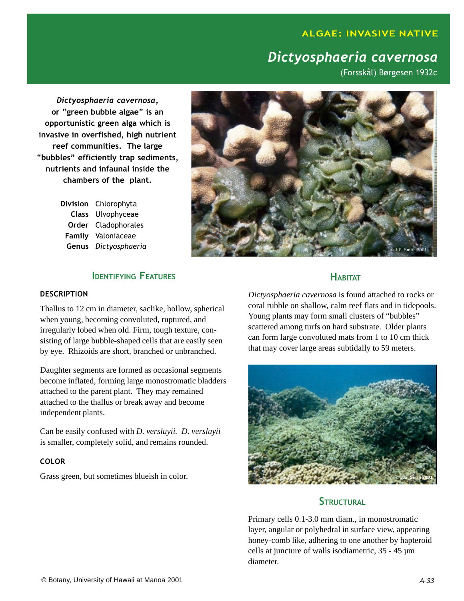# **ALGAE: INVASIVE NATIVE**

# Dictyosphaeria cavernosa

(Forsskål) Børgesen 1932c

Dictyosphaeria cavernosa, or "green bubble algae" is an opportunistic green alga which is invasive in overfished, high nutrient reef communities. The large "bubbles" efficiently trap sediments, nutrients and infaunal inside the chambers of the plant.

> Division Chlorophyta Class Ulvophyceae Order Cladophorales Family Valoniaceae Genus Dictyosphaeria



# **IDENTIFYING FEATURES**

#### DESCRIPTION

Thallus to 12 cm in diameter, saclike, hollow, spherical when young, becoming convoluted, ruptured, and irregularly lobed when old. Firm, tough texture, consisting of large bubble-shaped cells that are easily seen by eye. Rhizoids are short, branched or unbranched.

Daughter segments are formed as occasional segments become inflated, forming large monostromatic bladders attached to the parent plant. They may remained attached to the thallus or break away and become independent plants.

Can be easily confused with *D. versluyii. D. versluyii* is smaller, completely solid, and remains rounded.

#### COLOR

Grass green, but sometimes blueish in color.

### **HARITAT**

*Dictyosphaeria cavernosa* is found attached to rocks or coral rubble on shallow, calm reef flats and in tidepools. Young plants may form small clusters of "bubbles" scattered among turfs on hard substrate. Older plants can form large convoluted mats from 1 to 10 cm thick that may cover large areas subtidally to 59 meters.



### STRUCTURAL

Primary cells 0.1-3.0 mm diam., in monostromatic layer, angular or polyhedral in surface view, appearing honey-comb like, adhering to one another by hapteroid cells at juncture of walls isodiametric, 35 - 45 µm diameter.